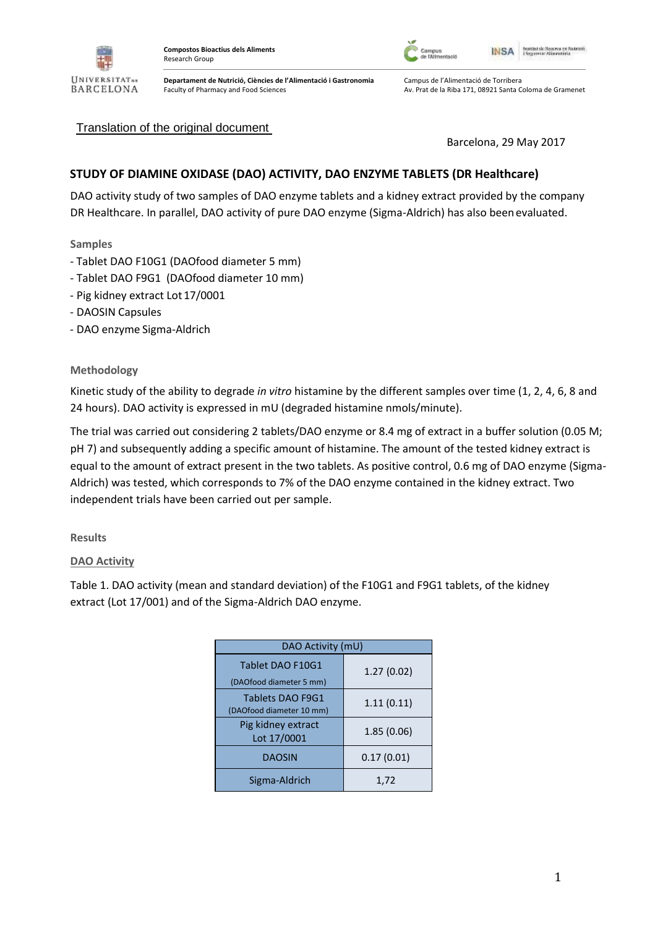

Faculty of Pharmacy and Food Sciences

**Departament de Nutrició, Ciències de l'Alimentació i Gastronomia**



Campus de l'Alimentació de Torribera Av. Prat de la Riba 171, 08921 Santa Coloma de Gramenet

## Translation of the original document

Barcelona, 29 May 2017

# **STUDY OF DIAMINE OXIDASE (DAO) ACTIVITY, DAO ENZYME TABLETS (DR Healthcare)**

DAO activity study of two samples of DAO enzyme tablets and a kidney extract provided by the company DR Healthcare. In parallel, DAO activity of pure DAO enzyme (Sigma-Aldrich) has also been evaluated.

### **Samples**

- Tablet DAO F10G1 (DAOfood diameter 5 mm)
- Tablet DAO F9G1 (DAOfood diameter 10 mm)
- Pig kidney extract Lot 17/0001
- DAOSIN Capsules
- DAO enzyme Sigma-Aldrich

#### **Methodology**

Kinetic study of the ability to degrade *in vitro* histamine by the different samples over time (1, 2, 4, 6, 8 and 24 hours). DAO activity is expressed in mU (degraded histamine nmols/minute).

The trial was carried out considering 2 tablets/DAO enzyme or 8.4 mg of extract in a buffer solution (0.05 M; pH 7) and subsequently adding a specific amount of histamine. The amount of the tested kidney extract is equal to the amount of extract present in the two tablets. As positive control, 0.6 mg of DAO enzyme (Sigma-Aldrich) was tested, which corresponds to 7% of the DAO enzyme contained in the kidney extract. Two independent trials have been carried out per sample.

**Results**

#### **DAO Activity**

Table 1. DAO activity (mean and standard deviation) of the F10G1 and F9G1 tablets, of the kidney extract (Lot 17/001) and of the Sigma-Aldrich DAO enzyme.

| DAO Activity (mU)                            |             |
|----------------------------------------------|-------------|
| Tablet DAO F10G1<br>(DAOfood diameter 5 mm)  | 1.27(0.02)  |
| Tablets DAO F9G1<br>(DAOfood diameter 10 mm) | 1.11(0.11)  |
| Pig kidney extract<br>Lot 17/0001            | 1.85 (0.06) |
| <b>DAOSIN</b>                                | 0.17(0.01)  |
| Sigma-Aldrich                                | 1,72        |